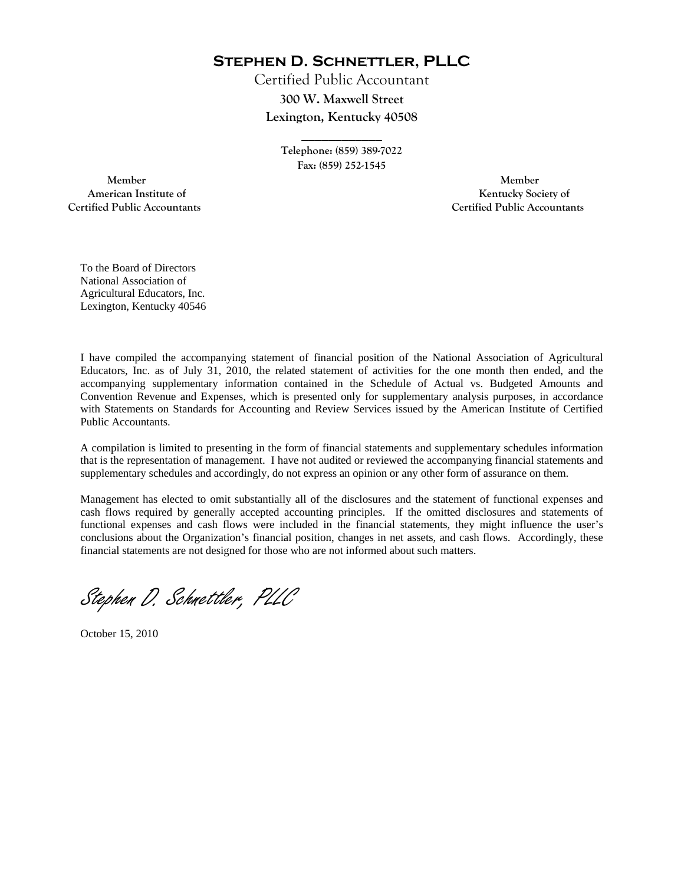**Stephen D. Schnettler, PLLC**

Certified Public Accountant **300 W. Maxwell Street Lexington, Kentucky 40508** 

> **Telephone: (859) 389-7022 Fax: (859) 252-1545**

**\_\_\_\_\_\_\_\_\_\_\_\_** 

 **Member Member Certified Public Accountants Certified Public Accountants** 

American Institute of **Kentucky Society of** 

To the Board of Directors National Association of Agricultural Educators, Inc. Lexington, Kentucky 40546

I have compiled the accompanying statement of financial position of the National Association of Agricultural Educators, Inc. as of July 31, 2010, the related statement of activities for the one month then ended, and the accompanying supplementary information contained in the Schedule of Actual vs. Budgeted Amounts and Convention Revenue and Expenses, which is presented only for supplementary analysis purposes, in accordance with Statements on Standards for Accounting and Review Services issued by the American Institute of Certified Public Accountants.

A compilation is limited to presenting in the form of financial statements and supplementary schedules information that is the representation of management. I have not audited or reviewed the accompanying financial statements and supplementary schedules and accordingly, do not express an opinion or any other form of assurance on them.

Management has elected to omit substantially all of the disclosures and the statement of functional expenses and cash flows required by generally accepted accounting principles. If the omitted disclosures and statements of functional expenses and cash flows were included in the financial statements, they might influence the user's conclusions about the Organization's financial position, changes in net assets, and cash flows. Accordingly, these financial statements are not designed for those who are not informed about such matters.

Stephen D. Schnettler, PLLC

October 15, 2010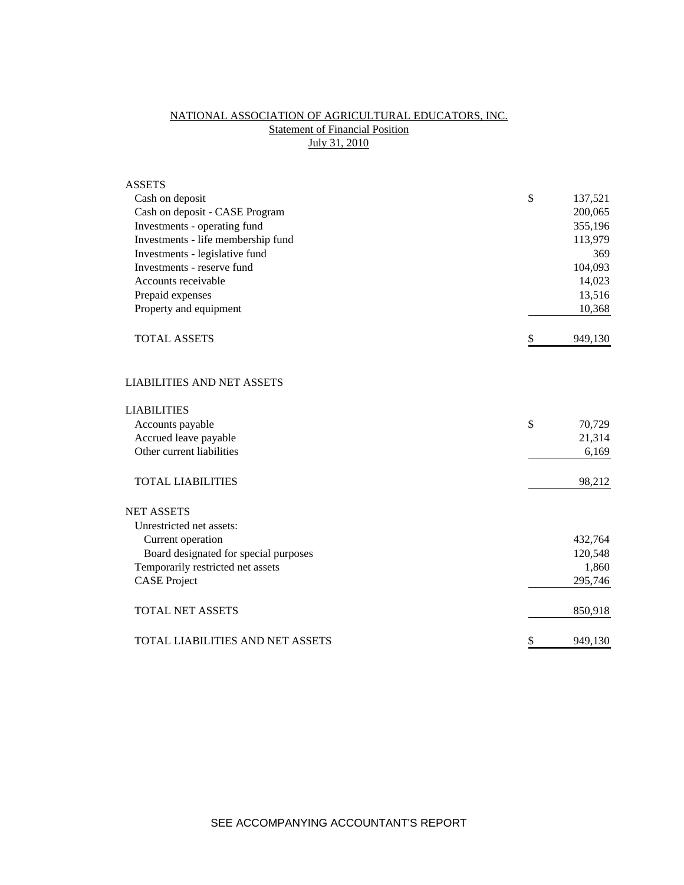# NATIONAL ASSOCIATION OF AGRICULTURAL EDUCATORS, INC. **Statement of Financial Position** July 31, 2010

| <b>ASSETS</b>                         |               |
|---------------------------------------|---------------|
| Cash on deposit                       | \$<br>137,521 |
| Cash on deposit - CASE Program        | 200,065       |
| Investments - operating fund          | 355,196       |
| Investments - life membership fund    | 113,979       |
| Investments - legislative fund        | 369           |
| Investments - reserve fund            | 104,093       |
| Accounts receivable                   | 14,023        |
| Prepaid expenses                      | 13,516        |
| Property and equipment                | 10,368        |
| <b>TOTAL ASSETS</b>                   | \$<br>949,130 |
| <b>LIABILITIES AND NET ASSETS</b>     |               |
| <b>LIABILITIES</b>                    |               |
| Accounts payable                      | \$<br>70,729  |
| Accrued leave payable                 | 21,314        |
| Other current liabilities             | 6,169         |
| <b>TOTAL LIABILITIES</b>              | 98,212        |
| <b>NET ASSETS</b>                     |               |
| Unrestricted net assets:              |               |
| Current operation                     | 432,764       |
| Board designated for special purposes | 120,548       |
| Temporarily restricted net assets     | 1,860         |
| <b>CASE</b> Project                   | 295,746       |
| <b>TOTAL NET ASSETS</b>               | 850,918       |
| TOTAL LIABILITIES AND NET ASSETS      | \$<br>949,130 |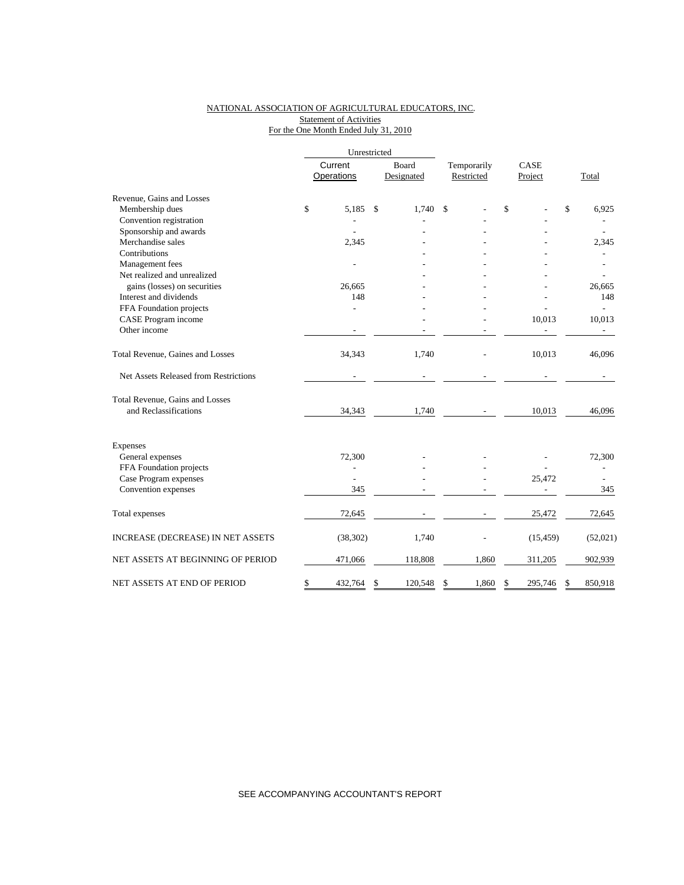### NATIONAL ASSOCIATION OF AGRICULTURAL EDUCATORS, INC. Statement of Activities For the One Month Ended July 31, 2010

|                                       | Unrestricted |                       |               |                            |                           |                 |    |                          |  |
|---------------------------------------|--------------|-----------------------|---------------|----------------------------|---------------------------|-----------------|----|--------------------------|--|
|                                       |              | Current<br>Operations |               | <b>Board</b><br>Designated | Temporarily<br>Restricted | CASE<br>Project |    | Total                    |  |
| Revenue, Gains and Losses             |              |                       |               |                            |                           |                 |    |                          |  |
| Membership dues                       | \$           | 5,185                 | <sup>\$</sup> | 1,740                      | \$                        | \$              | \$ | 6,925                    |  |
| Convention registration               |              |                       |               |                            |                           |                 |    |                          |  |
| Sponsorship and awards                |              |                       |               |                            |                           |                 |    |                          |  |
| Merchandise sales                     |              | 2,345                 |               |                            |                           |                 |    | 2,345                    |  |
| Contributions                         |              |                       |               |                            |                           |                 |    |                          |  |
| Management fees                       |              |                       |               |                            |                           |                 |    |                          |  |
| Net realized and unrealized           |              |                       |               |                            |                           |                 |    |                          |  |
| gains (losses) on securities          |              | 26,665                |               |                            |                           |                 |    | 26,665                   |  |
| Interest and dividends                |              | 148                   |               |                            |                           |                 |    | 148                      |  |
| FFA Foundation projects               |              |                       |               |                            |                           |                 |    |                          |  |
| CASE Program income                   |              |                       |               |                            |                           | 10,013          |    | 10,013                   |  |
| Other income                          |              |                       |               |                            |                           |                 |    | $\overline{\phantom{a}}$ |  |
| Total Revenue, Gaines and Losses      |              | 34,343                |               | 1,740                      |                           | 10,013          |    | 46,096                   |  |
| Net Assets Released from Restrictions |              |                       |               |                            |                           |                 |    |                          |  |
| Total Revenue, Gains and Losses       |              |                       |               |                            |                           |                 |    |                          |  |
| and Reclassifications                 |              | 34,343                |               | 1,740                      |                           | 10,013          |    | 46,096                   |  |
| Expenses                              |              |                       |               |                            |                           |                 |    |                          |  |
| General expenses                      |              | 72,300                |               |                            |                           |                 |    | 72,300                   |  |
| FFA Foundation projects               |              | $\overline{a}$        |               |                            |                           |                 |    |                          |  |
| Case Program expenses                 |              |                       |               |                            |                           | 25,472          |    |                          |  |
| Convention expenses                   |              | 345                   |               |                            |                           |                 |    | 345                      |  |
| Total expenses                        |              | 72,645                |               |                            |                           | 25,472          |    | 72,645                   |  |
| INCREASE (DECREASE) IN NET ASSETS     |              | (38, 302)             |               | 1,740                      |                           | (15, 459)       |    | (52,021)                 |  |
| NET ASSETS AT BEGINNING OF PERIOD     |              | 471,066               |               | 118,808                    | 1,860                     | 311,205         |    | 902,939                  |  |
| NET ASSETS AT END OF PERIOD           | \$           | 432,764               | S             | 120,548                    | \$<br>1,860               | \$<br>295,746   | S  | 850,918                  |  |

SEE ACCOMPANYING ACCOUNTANT'S REPORT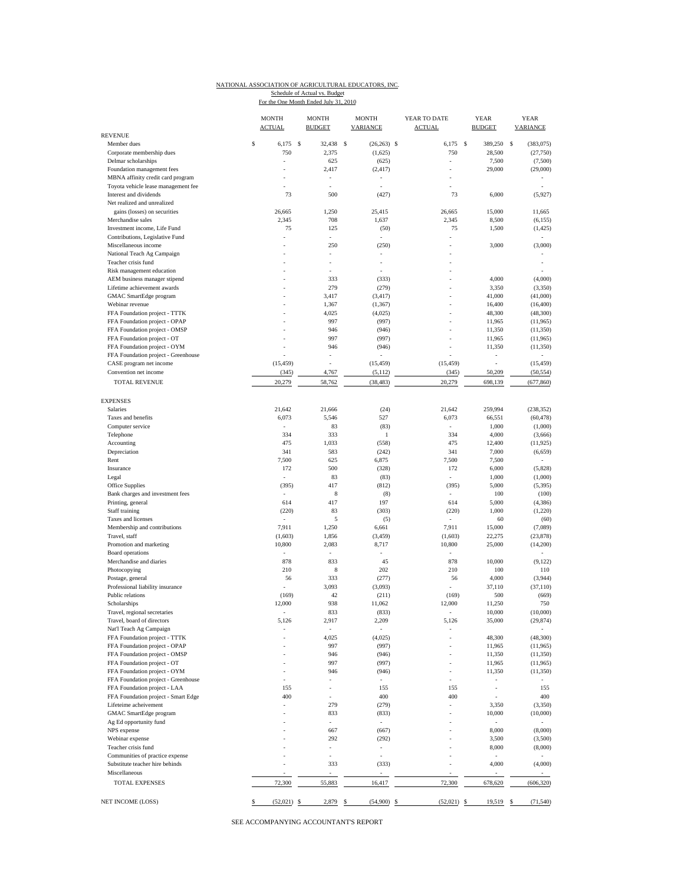#### NATIONAL ASSOCIATION OF AGRICULTURAL EDUCATORS, INC.

Schedule of Actual vs. Budget<br>For the One Month Ended July 31, 2010

| <b>REVENUE</b>                                                 | <b>MONTH</b><br><b>ACTUAL</b> | <b>MONTH</b><br><b>BUDGET</b> | <b>MONTH</b><br>VARIANCE | YEAR TO DATE<br><b>ACTUAL</b> | <b>YEAR</b><br><b>BUDGET</b> | <b>YEAR</b><br><b>VARIANCE</b> |
|----------------------------------------------------------------|-------------------------------|-------------------------------|--------------------------|-------------------------------|------------------------------|--------------------------------|
| Member dues                                                    | \$<br>6,175                   | S<br>32,438                   | \$<br>$(26, 263)$ \$     | 6,175                         | \$<br>389,250                | s<br>(383,075)                 |
| Corporate membership dues                                      | 750                           | 2,375                         | (1,625)                  | 750                           | 28,500                       | (27,750)                       |
| Delmar scholarships                                            |                               | 625                           | (625)                    | $\overline{\phantom{a}}$      | 7,500                        | (7,500)                        |
| Foundation management fees                                     |                               | 2,417                         | (2, 417)                 |                               | 29,000                       | (29,000)                       |
| MBNA affinity credit card program                              |                               |                               | ٠                        |                               |                              |                                |
| Toyota vehicle lease management fee                            |                               | ä,                            |                          |                               |                              |                                |
| Interest and dividends                                         | 73                            | 500                           | (427)                    | 73                            | 6,000                        | (5,927)                        |
| Net realized and unrealized<br>gains (losses) on securities    | 26,665                        | 1,250                         | 25,415                   | 26,665                        | 15,000                       | 11,665                         |
| Merchandise sales                                              | 2,345                         | 708                           | 1,637                    | 2,345                         | 8,500                        | (6, 155)                       |
| Investment income, Life Fund                                   | 75                            | 125                           | (50)                     | 75                            | 1,500                        | (1, 425)                       |
| Contributions, Legislative Fund                                |                               | ÷,                            |                          |                               |                              |                                |
| Miscellaneous income                                           |                               | 250                           | (250)                    | ä,                            | 3,000                        | (3,000)                        |
| National Teach Ag Campaign                                     |                               |                               |                          |                               |                              |                                |
| Teacher crisis fund                                            |                               | ÷,                            | ٠                        |                               |                              |                                |
| Risk management education                                      |                               |                               |                          |                               |                              |                                |
| AEM business manager stipend                                   |                               | 333                           | (333)                    |                               | 4,000                        | (4,000)                        |
| Lifetime achievement awards                                    |                               | 279                           | (279)                    |                               | 3,350                        | (3,350)                        |
| GMAC SmartEdge program                                         |                               | 3,417                         | (3, 417)                 |                               | 41,000                       | (41,000)                       |
| Webinar revenue                                                |                               | 1,367                         | (1, 367)                 |                               | 16,400                       | (16, 400)                      |
| FFA Foundation project - TTTK<br>FFA Foundation project - OPAP |                               | 4,025<br>997                  | (4,025)<br>(997)         |                               | 48,300<br>11,965             | (48,300)<br>(11,965)           |
| FFA Foundation project - OMSP                                  |                               | 946                           | (946)                    |                               | 11,350                       | (11,350)                       |
| FFA Foundation project - OT                                    |                               | 997                           | (997)                    |                               | 11,965                       | (11,965)                       |
| FFA Foundation project - OYM                                   |                               | 946                           | (946)                    |                               | 11,350                       | (11,350)                       |
| FFA Foundation project - Greenhouse                            |                               |                               |                          |                               |                              |                                |
| CASE program net income                                        | (15, 459)                     |                               | (15, 459)                | (15, 459)                     |                              | (15, 459)                      |
| Convention net income                                          | (345)                         | 4,767                         | (5, 112)                 | (345)                         | 50,209                       | (50, 554)                      |
| <b>TOTAL REVENUE</b>                                           | 20,279                        | 58,762                        | (38, 483)                | 20,279                        | 698,139                      | (677, 860)                     |
| <b>EXPENSES</b>                                                |                               |                               |                          |                               |                              |                                |
| Salaries                                                       | 21,642                        | 21,666                        | (24)                     | 21,642                        | 259,994                      | (238, 352)                     |
| Taxes and benefits                                             | 6,073                         | 5,546                         | 527                      | 6,073                         | 66,551                       | (60, 478)                      |
| Computer service                                               | $\overline{\phantom{m}}$      | 83                            | (83)                     |                               | 1,000                        | (1,000)                        |
| Telephone                                                      | 334                           | 333                           | $\,1\,$                  | 334                           | 4,000                        | (3,666)                        |
| Accounting                                                     | 475                           | 1,033                         | (558)                    | 475                           | 12,400                       | (11, 925)                      |
| Depreciation                                                   | 341                           | 583                           | (242)                    | 341                           | 7,000                        | (6, 659)                       |
| Rent                                                           | 7,500                         | 625                           | 6,875                    | 7,500                         | 7,500                        |                                |
| Insurance                                                      | 172                           | 500                           | (328)                    | 172                           | 6,000                        | (5,828)                        |
| Legal                                                          | ÷                             | 83                            | (83)                     | $\sim$                        | 1,000                        | (1,000)                        |
| Office Supplies                                                | (395)                         | 417                           | (812)                    | (395)                         | 5,000                        | (5, 395)                       |
| Bank charges and investment fees                               | $\bar{a}$                     | 8                             | (8)                      |                               | 100                          | (100)                          |
| Printing, general                                              | 614                           | 417<br>83                     | 197                      | 614                           | 5,000                        | (4,386)                        |
| Staff training<br>Taxes and licenses                           | (220)                         | 5                             | (303)<br>(5)             | (220)                         | 1,000<br>60                  | (1,220)<br>(60)                |
| Membership and contributions                                   | 7,911                         | 1,250                         | 6,661                    | 7,911                         | 15,000                       | (7,089)                        |
| Travel, staff                                                  | (1,603)                       | 1,856                         | (3,459)                  | (1,603)                       | 22,275                       | (23,878)                       |
| Promotion and marketing                                        | 10,800                        | 2,083                         | 8,717                    | 10,800                        | 25,000                       | (14,200)                       |
| Board operations                                               |                               |                               |                          |                               |                              |                                |
| Merchandise and diaries                                        | 878                           | 833                           | 45                       | 878                           | 10,000                       | (9, 122)                       |
| Photocopying                                                   | 210                           | 8                             | 202                      | 210                           | 100                          | 110                            |
| Postage, general                                               | 56                            | 333                           | (277)                    | 56                            | 4,000                        | (3,944)                        |
| Professional liability insurance                               |                               | 3,093                         | (3,093)                  |                               | 37,110                       | (37, 110)                      |
| Public relations                                               | (169)                         | 42                            | (211)                    | (169)                         | 500                          | (669)                          |
| Scholarships                                                   | 12,000                        | 938                           | 11,062                   | 12,000                        | 11,250                       | 750                            |
| Travel, regional secretaries                                   | 5,126                         | 833                           | (833)                    | 5,126                         | 10,000                       | (10,000)                       |
| Travel, board of directors<br>Nat'l Teach Ag Campaign          |                               | 2,917<br>$\bar{a}$            | 2,209                    |                               | 35,000                       | (29, 874)                      |
| FFA Foundation project - TTTK                                  |                               | 4,025                         | (4,025)                  | ÷,                            | 48,300                       | (48, 300)                      |
| FFA Foundation project - OPAP                                  |                               | 997                           | (997)                    |                               | 11,965                       | (11,965)                       |
| FFA Foundation project - OMSP                                  |                               | 946                           | (946)                    | ä,                            | 11,350                       | (11,350)                       |
| FFA Foundation project - OT                                    |                               | 997                           | (997)                    |                               | 11,965                       | (11,965)                       |
| FFA Foundation project - OYM                                   |                               | 946                           | (946)                    | ÷,                            | 11,350                       | (11,350)                       |
| FFA Foundation project - Greenhouse                            |                               |                               |                          |                               |                              |                                |
| FFA Foundation project - LAA                                   | 155                           | $\overline{\phantom{m}}$      | 155                      | 155                           |                              | 155                            |
| FFA Foundation project - Smart Edge                            | 400                           |                               | 400                      | 400                           |                              | 400                            |
| Lifeteime acheivement                                          |                               | 279                           | (279)                    | i,                            | 3,350                        | (3,350)                        |
| GMAC SmartEdge program                                         |                               | 833                           | (833)                    |                               | 10,000                       | (10,000)                       |
| Ag Ed opportunity fund                                         |                               | ÷,                            | $\overline{\phantom{a}}$ |                               | $\overline{\phantom{a}}$     |                                |
| NPS expense                                                    |                               | 667                           | (667)                    |                               | 8,000                        | (8,000)                        |
| Webinar expense                                                |                               | 292                           | (292)                    |                               | 3,500                        | (3,500)                        |
| Teacher crisis fund                                            |                               | $\frac{1}{2}$                 | $\overline{\phantom{a}}$ |                               | 8,000                        | (8,000)                        |
| Communities of practice expense                                |                               | ÷,                            |                          |                               |                              |                                |
| Substitute teacher hire behinds<br>Miscellaneous               |                               | 333                           | (333)                    |                               | 4,000                        | (4,000)                        |
| <b>TOTAL EXPENSES</b>                                          | 72,300                        | 55,883                        | 16,417                   | 72,300                        | 678,620                      | (606, 320)                     |
| NET INCOME (LOSS)                                              | \$<br>$(52,021)$ \$           | 2,879                         | $(54,900)$ \$<br>\$      | $(52,021)$ \$                 | 19,519 \$                    | (71, 540)                      |

SEE ACCOMPANYING ACCOUNTANT'S REPORT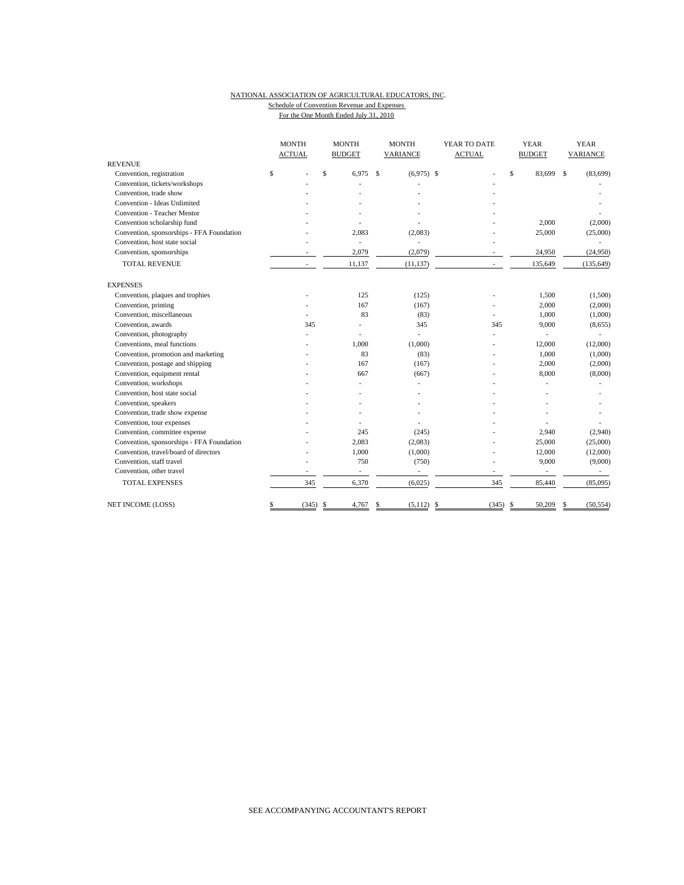### NATIONAL ASSOCIATION OF AGRICULTURAL EDUCATORS, INC. Schedule of Convention Revenue and Expenses For the One Month Ended July 31, 2010

|                                           | <b>MONTH</b><br><b>ACTUAL</b> |            | <b>MONTH</b><br><b>BUDGET</b> |                | <b>MONTH</b><br>VARIANCE |                          | YEAR TO DATE<br><b>ACTUAL</b> |    | <b>YEAR</b><br><b>BUDGET</b> |              | <b>YEAR</b><br><b>VARIANCE</b> |  |
|-------------------------------------------|-------------------------------|------------|-------------------------------|----------------|--------------------------|--------------------------|-------------------------------|----|------------------------------|--------------|--------------------------------|--|
| <b>REVENUE</b>                            |                               |            |                               |                |                          |                          |                               |    |                              |              |                                |  |
| Convention, registration                  | \$                            |            | \$                            | 6,975          | <sup>\$</sup>            | $(6,975)$ \$             |                               | \$ | 83,699                       | $\mathbf{s}$ | (83, 699)                      |  |
| Convention, tickets/workshops             |                               |            |                               |                |                          |                          |                               |    |                              |              |                                |  |
| Convention, trade show                    |                               |            |                               |                |                          |                          |                               |    |                              |              |                                |  |
| Convention - Ideas Unlimited              |                               |            |                               |                |                          |                          |                               |    |                              |              |                                |  |
| <b>Convention - Teacher Mentor</b>        |                               |            |                               |                |                          |                          |                               |    |                              |              |                                |  |
| Convention scholarship fund               |                               |            |                               |                |                          |                          |                               |    | 2,000                        |              | (2,000)                        |  |
| Convention, sponsorships - FFA Foundation |                               |            |                               | 2,083          |                          | (2,083)                  |                               |    | 25,000                       |              | (25,000)                       |  |
| Convention, host state social             |                               |            |                               | ä,             |                          | ä,                       |                               |    |                              |              |                                |  |
| Convention, sponsorships                  |                               |            |                               | 2,079          |                          | (2,079)                  |                               |    | 24,950                       |              | (24,950)                       |  |
| <b>TOTAL REVENUE</b>                      |                               |            |                               | 11,137         |                          | (11, 137)                |                               |    | 135,649                      |              | (135, 649)                     |  |
| <b>EXPENSES</b>                           |                               |            |                               |                |                          |                          |                               |    |                              |              |                                |  |
| Convention, plaques and trophies          |                               |            |                               | 125            |                          | (125)                    |                               |    | 1,500                        |              | (1,500)                        |  |
| Convention, printing                      |                               |            |                               | 167            |                          | (167)                    |                               |    | 2,000                        |              | (2,000)                        |  |
| Convention, miscellaneous                 |                               |            |                               | 83             |                          | (83)                     |                               |    | 1,000                        |              | (1,000)                        |  |
| Convention, awards                        |                               | 345        |                               |                |                          | 345                      | 345                           |    | 9,000                        |              | (8,655)                        |  |
| Convention, photography                   |                               |            |                               |                |                          | L,                       |                               |    |                              |              |                                |  |
| Conventions, meal functions               |                               |            |                               | 1,000          |                          | (1,000)                  |                               |    | 12,000                       |              | (12,000)                       |  |
| Convention, promotion and marketing       |                               |            |                               | 83             |                          | (83)                     |                               |    | 1,000                        |              | (1,000)                        |  |
| Convention, postage and shipping          |                               |            |                               | 167            |                          | (167)                    |                               |    | 2,000                        |              | (2,000)                        |  |
| Convention, equipment rental              |                               |            |                               | 667            |                          | (667)                    |                               |    | 8,000                        |              | (8,000)                        |  |
| Convention, workshops                     |                               |            |                               |                |                          |                          |                               |    |                              |              |                                |  |
| Convention, host state social             |                               |            |                               |                |                          |                          |                               |    |                              |              |                                |  |
| Convention, speakers                      |                               |            |                               |                |                          |                          |                               |    |                              |              |                                |  |
| Convention, trade show expense            |                               |            |                               |                |                          |                          |                               |    |                              |              |                                |  |
| Convention, tour expenses                 |                               |            |                               |                |                          |                          |                               |    |                              |              |                                |  |
| Convention, committee expense             |                               |            |                               | 245            |                          | (245)                    |                               |    | 2,940                        |              | (2,940)                        |  |
| Convention, sponsorships - FFA Foundation |                               |            |                               | 2,083          |                          | (2,083)                  |                               |    | 25,000                       |              | (25,000)                       |  |
| Convention, travel/board of directors     |                               |            |                               | 1,000          |                          | (1,000)                  |                               |    | 12,000                       |              | (12,000)                       |  |
| Convention, staff travel                  |                               |            |                               | 750            |                          | (750)                    |                               |    | 9,000                        |              | (9,000)                        |  |
| Convention, other travel                  |                               |            |                               | $\overline{a}$ |                          | $\overline{\phantom{a}}$ | ä,                            |    |                              |              |                                |  |
| <b>TOTAL EXPENSES</b>                     |                               | 345        |                               | 6,370          |                          | (6,025)                  | 345                           |    | 85,440                       |              | (85,095)                       |  |
| <b>NET INCOME (LOSS)</b>                  | \$                            | $(345)$ \$ |                               | 4,767          | \$                       | $(5,112)$ \$             | $(345)$ \$                    |    | 50,209                       | \$           | (50, 554)                      |  |